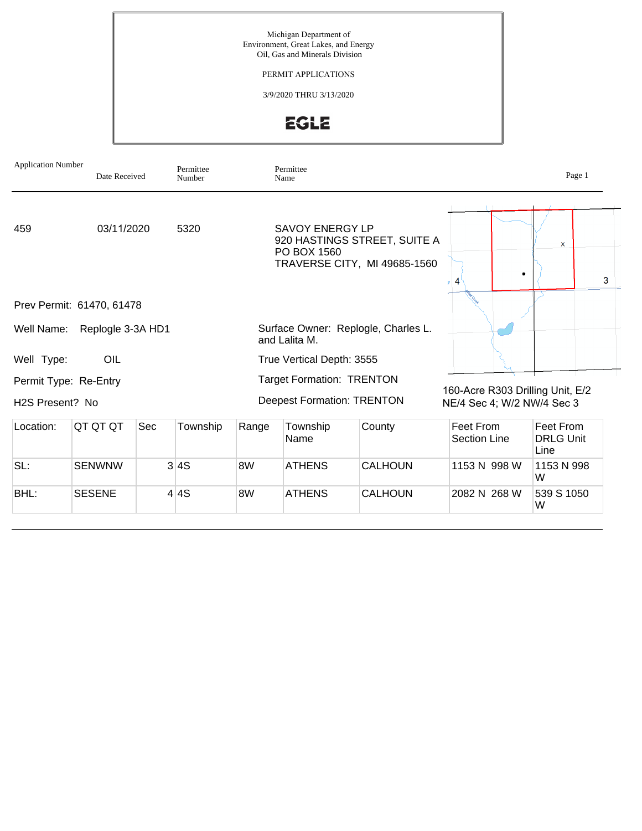Michigan Department of Environment, Great Lakes, and Energy Oil, Gas and Minerals Division

PERMIT APPLICATIONS

3/9/2020 THRU 3/13/2020

EGLE

| <b>Application Number</b>    |                           | Permittee<br>Date Received<br>Number |          |       | Permittee<br>Name                 |                                                              |                                                                | Page 1                                |
|------------------------------|---------------------------|--------------------------------------|----------|-------|-----------------------------------|--------------------------------------------------------------|----------------------------------------------------------------|---------------------------------------|
| 459                          | 03/11/2020<br>5320        |                                      |          |       | SAVOY ENERGY LP<br>PO BOX 1560    | 920 HASTINGS STREET, SUITE A<br>TRAVERSE CITY, MI 49685-1560 |                                                                | $\mathsf{x}$<br>3                     |
|                              | Prev Permit: 61470, 61478 |                                      |          |       |                                   |                                                              |                                                                |                                       |
| Well Name:                   | Replogle 3-3A HD1         |                                      |          |       | and Lalita M.                     | Surface Owner: Replogle, Charles L.                          |                                                                |                                       |
| Well Type:                   | OIL                       |                                      |          |       | True Vertical Depth: 3555         |                                                              |                                                                |                                       |
| Permit Type: Re-Entry        |                           |                                      |          |       | <b>Target Formation: TRENTON</b>  |                                                              |                                                                |                                       |
| H <sub>2</sub> S Present? No |                           |                                      |          |       | <b>Deepest Formation: TRENTON</b> |                                                              | 160-Acre R303 Drilling Unit, E/2<br>NE/4 Sec 4; W/2 NW/4 Sec 3 |                                       |
| Location:                    | QT QT QT                  | <b>Sec</b>                           | Township | Range | Township<br>Name                  | County                                                       | Feet From<br>Section Line                                      | Feet From<br><b>DRLG Unit</b><br>Line |
| SL:                          | <b>SENWNW</b>             |                                      | 3 4S     | 8W    | <b>ATHENS</b>                     | <b>CALHOUN</b>                                               | 1153 N 998 W                                                   | 1153 N 998<br>W                       |
| BHL:                         | <b>SESENE</b>             |                                      | 4 4S     | 8W    | <b>ATHENS</b>                     | <b>CALHOUN</b>                                               | 2082 N 268 W                                                   | 539 S 1050<br>W                       |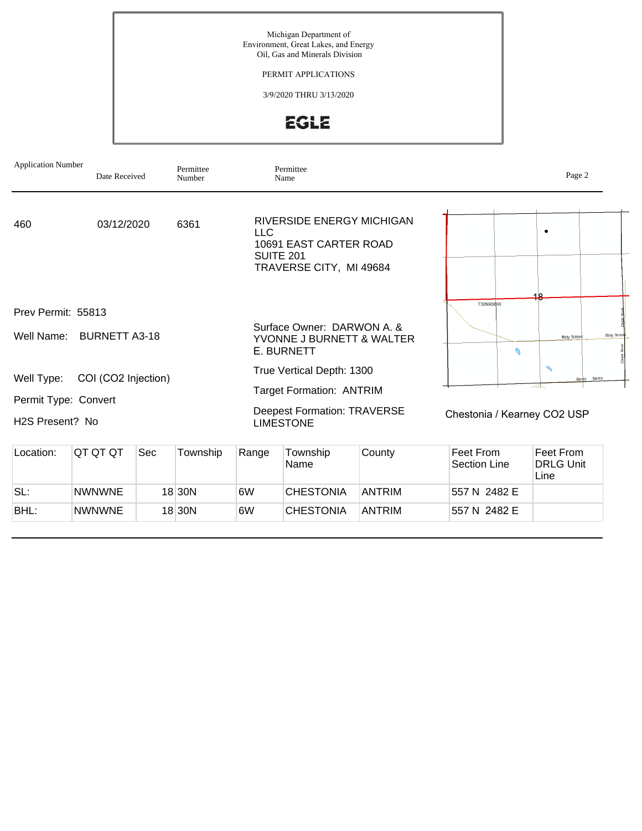Michigan Department of Environment, Great Lakes, and Energy Oil, Gas and Minerals Division

PERMIT APPLICATIONS

3/9/2020 THRU 3/13/2020

EGLE

| <b>Application Number</b>        | Date Received        |     | Permittee<br>Number |       | Permittee<br>Name                                                                                  |        |                             | Page 2                                           |
|----------------------------------|----------------------|-----|---------------------|-------|----------------------------------------------------------------------------------------------------|--------|-----------------------------|--------------------------------------------------|
| 460                              | 03/12/2020           |     | 6361                | LLC   | RIVERSIDE ENERGY MICHIGAN<br>10691 EAST CARTER ROAD<br><b>SUITE 201</b><br>TRAVERSE CITY, MI 49684 |        |                             | ٠                                                |
| Prev Permit: 55813<br>Well Name: | <b>BURNETT A3-18</b> |     |                     |       | Surface Owner: DARWON A. &                                                                         |        | T30NR06W                    | 12<br>Eddy Schoo<br>Eddy School                  |
|                                  |                      |     |                     |       | YVONNE J BURNETT & WALTER<br>E. BURNETT                                                            |        | $\mathcal O$                |                                                  |
| Well Type:                       | COI (CO2 Injection)  |     |                     |       | True Vertical Depth: 1300                                                                          |        |                             | $\mathcal{L}$<br><b>Starks</b><br>Starks<br>╱╧┶┈ |
| Permit Type: Convert             |                      |     |                     |       | <b>Target Formation: ANTRIM</b>                                                                    |        |                             |                                                  |
| H <sub>2</sub> S Present? No     |                      |     |                     |       | <b>Deepest Formation: TRAVERSE</b><br><b>LIMESTONE</b>                                             |        | Chestonia / Kearney CO2 USP |                                                  |
| Location:                        | QT QT QT             | Sec | Township            | Range | Township<br>Name                                                                                   | County | Feet From<br>Saction Lina   | Feet From<br><b>DRIG</b> LInit                   |

| LUCQUUI. | <u>WI WI WI</u> | 00 U | <b>I UWIISIII</b> U | <b>INALIYE</b> | <b>I UWIISIII</b> U<br>Name | <b>CUULILY</b> | <u>I GEL I IVIII</u><br>Section Line | <b>CCLIUTI</b><br><b>DRLG Unit</b><br>Line |
|----------|-----------------|------|---------------------|----------------|-----------------------------|----------------|--------------------------------------|--------------------------------------------|
| SL:      | <b>NWNWNE</b>   |      | 18 30 N             | 6W             | <b>CHESTONIA</b>            | ANTRIM         | 557 N 2482 E                         |                                            |
| BHL:     | <b>NWNWNE</b>   |      | 18 30 N             | 6W             | <b>CHESTONIA</b>            | <b>ANTRIM</b>  | 557 N 2482 E                         |                                            |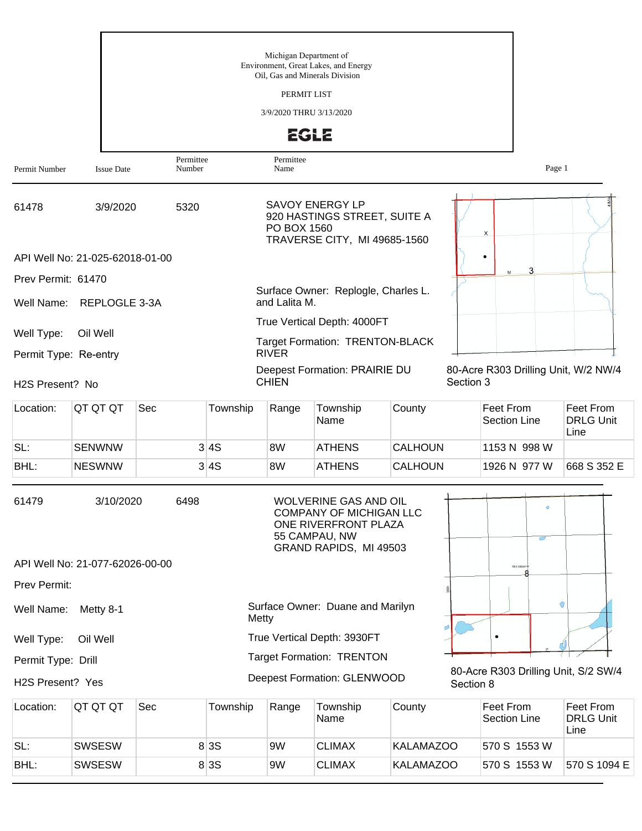|                       |                                 |           |          | Michigan Department of<br>PERMIT LIST  | Environment, Great Lakes, and Energy<br>Oil, Gas and Minerals Division                                                     |                |           |                                      |                                       |
|-----------------------|---------------------------------|-----------|----------|----------------------------------------|----------------------------------------------------------------------------------------------------------------------------|----------------|-----------|--------------------------------------|---------------------------------------|
|                       |                                 |           |          | 3/9/2020 THRU 3/13/2020<br><b>EGLE</b> |                                                                                                                            |                |           |                                      |                                       |
|                       |                                 | Permittee |          | Permittee                              |                                                                                                                            |                |           |                                      |                                       |
| Permit Number         | <b>Issue Date</b>               | Number    |          | Name                                   |                                                                                                                            |                |           | Page 1                               |                                       |
| 61478                 | 3/9/2020                        | 5320      |          | PO BOX 1560                            | <b>SAVOY ENERGY LP</b><br>920 HASTINGS STREET, SUITE A<br>TRAVERSE CITY, MI 49685-1560                                     |                |           | x                                    |                                       |
|                       | API Well No: 21-025-62018-01-00 |           |          |                                        |                                                                                                                            |                |           | 3<br>M                               |                                       |
| Prev Permit: 61470    |                                 |           |          |                                        | Surface Owner: Replogle, Charles L.                                                                                        |                |           |                                      |                                       |
| Well Name:            | REPLOGLE 3-3A                   |           |          | and Lalita M.                          |                                                                                                                            |                |           |                                      |                                       |
| Well Type:            | Oil Well                        |           |          |                                        | True Vertical Depth: 4000FT<br><b>Target Formation: TRENTON-BLACK</b>                                                      |                |           |                                      |                                       |
| Permit Type: Re-entry |                                 |           |          | <b>RIVER</b>                           |                                                                                                                            |                |           |                                      |                                       |
| H2S Present? No       |                                 |           |          | <b>CHIEN</b>                           | Deepest Formation: PRAIRIE DU                                                                                              |                | Section 3 | 80-Acre R303 Drilling Unit, W/2 NW/4 |                                       |
| Location:             | QT QT QT                        | Sec       | Township | Range                                  | Township<br>Name                                                                                                           | County         |           | Feet From<br><b>Section Line</b>     | Feet From<br><b>DRLG Unit</b><br>Line |
| SL:                   | <b>SENWNW</b>                   |           | 3 4S     | 8W                                     | <b>ATHENS</b>                                                                                                              | <b>CALHOUN</b> |           | 1153 N 998 W                         |                                       |
| BHL:                  | <b>NESWNW</b>                   |           | 3 4S     | 8W                                     | <b>ATHENS</b>                                                                                                              | <b>CALHOUN</b> |           | 1926 N 977 W                         | 668 S 352 E                           |
| 61479                 | 3/10/2020                       | 6498      |          |                                        | WOLVERINE GAS AND OIL<br><b>COMPANY OF MICHIGAN LLC</b><br>ONE RIVERFRONT PLAZA<br>55 CAMPAU, NW<br>GRAND RAPIDS, MI 49503 |                |           |                                      |                                       |
|                       | API Well No: 21-077-62026-00-00 |           |          |                                        |                                                                                                                            |                |           | TO 3 SROP W                          |                                       |
| Prev Permit:          |                                 |           |          |                                        |                                                                                                                            |                |           |                                      |                                       |
| Well Name:            | Metty 8-1                       |           | Metty    |                                        | Surface Owner: Duane and Marilyn                                                                                           |                |           |                                      | €                                     |
| Well Type:            | Oil Well                        |           |          |                                        | True Vertical Depth: 3930FT                                                                                                |                |           |                                      |                                       |
| Permit Type: Drill    |                                 |           |          |                                        | <b>Target Formation: TRENTON</b>                                                                                           |                |           | 80-Acre R303 Drilling Unit, S/2 SW/4 |                                       |
| H2S Present? Yes      |                                 |           |          |                                        | Deepest Formation: GLENWOOD                                                                                                |                | Section 8 |                                      |                                       |

| Location: | IQT QT QT     | Sec | Township | Range | Township<br>Name | County           | ∣Feet From<br>Section Line | Feet From<br>DRLG Unit<br>Line |
|-----------|---------------|-----|----------|-------|------------------|------------------|----------------------------|--------------------------------|
| SL:       | <b>SWSESW</b> |     | 8 3 S    | 9W    | <b>CLIMAX</b>    | KALAMAZOO        | 570 S 1553 W               |                                |
| BHL:      | <b>SWSESW</b> |     | 8 3 S    | 9W    | <b>CLIMAX</b>    | <b>KALAMAZOO</b> | 570 S 1553 W               | 570 S 1094 E                   |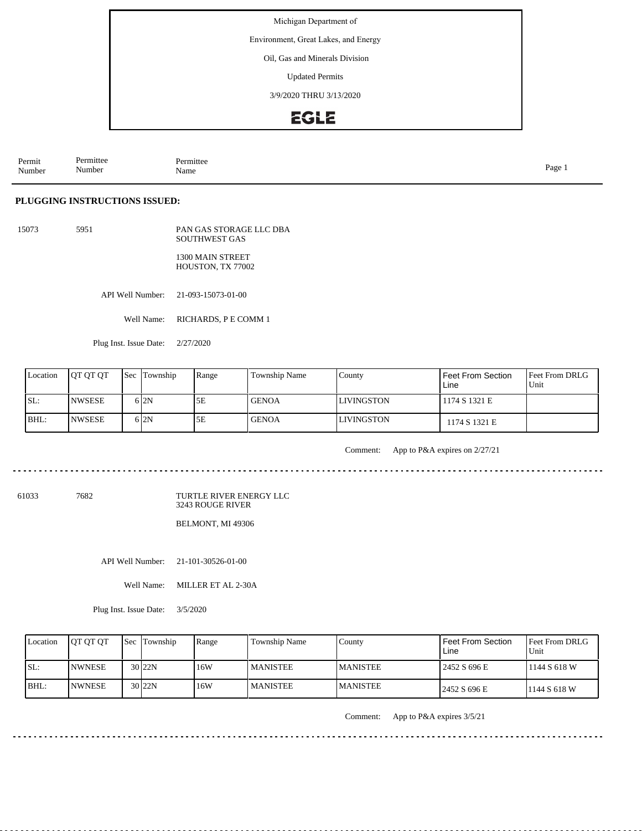Environment, Great Lakes, and Energy

Oil, Gas and Minerals Division

Updated Permits

3/9/2020 THRU 3/13/2020

## **EGLE**

Permit Number Permittee Number Permittee<br>Name Name Page 1

### **PLUGGING INSTRUCTIONS ISSUED:**

15073 5951 PAN GAS STORAGE LLC DBA SOUTHWEST GAS 1300 MAIN STREET HOUSTON, TX 77002

API Well Number: 21-093-15073-01-00

Well Name: RICHARDS, P E COMM 1

Plug Inst. Issue Date: 2/27/2020

| Location | <b>JOT OT OT</b> | <b>Sec</b> Township | Range | Township Name | County            | Feet From Section<br>Line | <b>Feet From DRLG</b><br>Unit |
|----------|------------------|---------------------|-------|---------------|-------------------|---------------------------|-------------------------------|
| SL:      | <b>NWSESE</b>    | 612N                | 5E    | l GENOA       | <b>LIVINGSTON</b> | 1174 S 1321 E             |                               |
| BHL:     | <b>NWSESE</b>    | 612N                | 5E    | <b>GENOA</b>  | <b>LIVINGSTON</b> | 1174 S 1321 E             |                               |

Comment: App to P&A expires on 2/27/21

61033 7682

TURTLE RIVER ENERGY LLC 3243 ROUGE RIVER

BELMONT, MI 49306

API Well Number: 21-101-30526-01-00

Well Name: MILLER ET AL 2-30A

Plug Inst. Issue Date: 3/5/2020

| Location | <b>OT OT OT</b> | <b>Sec</b> Township | Range | Township Name   | County           | <b>Feet From Section</b><br>Line | <b>Feet From DRLG</b><br>l Unit |
|----------|-----------------|---------------------|-------|-----------------|------------------|----------------------------------|---------------------------------|
| ISL:     | <b>INWNESE</b>  | $30$  22N           | 16W   | I MANISTEE      | <b>IMANISTEE</b> | 2452 S 696 E                     | 1144 S 618 W                    |
| IBHL:    | <b>INWNESE</b>  | 30 <sub>122N</sub>  | 16W   | <b>MANISTEE</b> | <b>IMANISTEE</b> | 2452 S 696 E                     | 1144 S 618 W                    |

Comment: App to P&A expires 3/5/21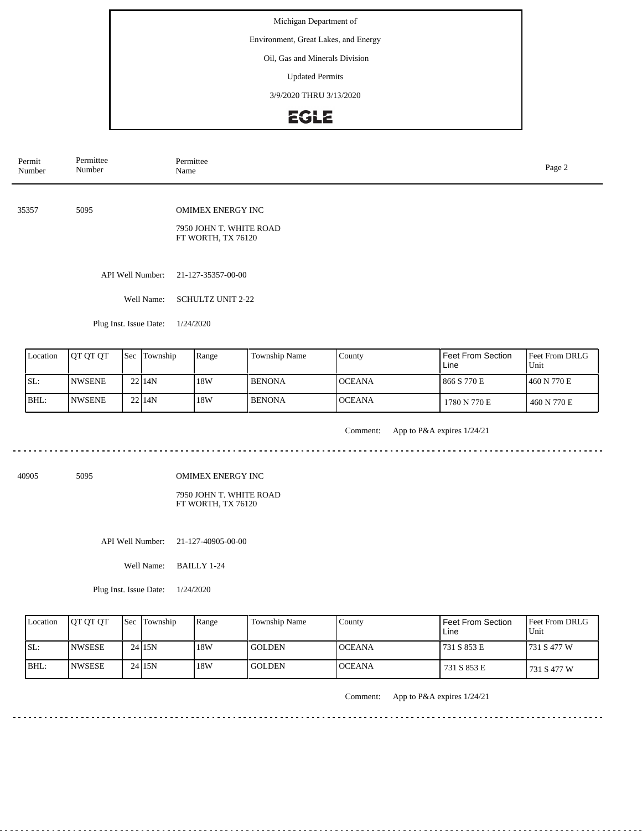Environment, Great Lakes, and Energy

Oil, Gas and Minerals Division

Updated Permits

3/9/2020 THRU 3/13/2020

## EGLE

| Permit<br>Number | Permittee<br>Number                                                   | Permittee<br>Name                             |               |                   |                   | Page 2                        |
|------------------|-----------------------------------------------------------------------|-----------------------------------------------|---------------|-------------------|-------------------|-------------------------------|
|                  |                                                                       |                                               |               |                   |                   |                               |
| 35357            | 5095                                                                  | <b>OMIMEX ENERGY INC</b>                      |               |                   |                   |                               |
|                  |                                                                       | 7950 JOHN T. WHITE ROAD<br>FT WORTH, TX 76120 |               |                   |                   |                               |
|                  |                                                                       |                                               |               |                   |                   |                               |
|                  | API Well Number:                                                      | 21-127-35357-00-00                            |               |                   |                   |                               |
|                  | Well Name:                                                            | <b>SCHULTZ UNIT 2-22</b>                      |               |                   |                   |                               |
|                  | Plug Inst. Issue Date:                                                | 1/24/2020                                     |               |                   |                   |                               |
|                  |                                                                       |                                               |               |                   |                   |                               |
| I occion         | $\epsilon$ $\epsilon$ $\epsilon$ $\epsilon$ $\epsilon$<br>$\ln$ ot ot | $D$ anga                                      | Township Name | $C_{\text{unit}}$ | Foot From Soction | $E_{\text{out}}$ Erom DPI $G$ |

| Location | <b>IOT OT OT</b> | <b>Sec</b> Township | Range | Township Name | County         | <b>Feet From Section</b><br>Line | <b>IFeet From DRLG</b><br>Unit |
|----------|------------------|---------------------|-------|---------------|----------------|----------------------------------|--------------------------------|
| ISL:     | <b>INWSENE</b>   | 22114N              | 18W   | <b>BENONA</b> | <b>IOCEANA</b> | 866 S 770 E                      | 1460 N 770 E                   |
| BHL:     | <b>INWSENE</b>   | 22114N              | 18W   | <b>BENONA</b> | <b>OCEANA</b>  | 1780 N 770 E                     | 460 N 770 E                    |

<u>. . . . . . . . .</u>

Comment: App to P&A expires 1/24/21

. . . . . . . . . . . . . . . . . .

<u>. . . . . . . . . . . . . . .</u>

 $\frac{1}{2}$ 

40905 5095

OMIMEX ENERGY INC

### 7950 JOHN T. WHITE ROAD FT WORTH, TX 76120

API Well Number: 21-127-40905-00-00

Well Name: BAILLY 1-24

Plug Inst. Issue Date: 1/24/2020

| Location | <b>IOT OT OT</b> | <b>Sec Township</b> | Range | <b>Township Name</b> | County         | <b>Feet From Section</b><br>Line | <b>Feet From DRLG</b><br>Unit |
|----------|------------------|---------------------|-------|----------------------|----------------|----------------------------------|-------------------------------|
| SL:      | <b>INWSESE</b>   | 24115N              | 18W   | l GOLDEN             | <b>IOCEANA</b> | 731 S 853 E                      | 1731 S 477 W                  |
| IBHL:    | <b>INWSESE</b>   | 24 15N              | 18W   | <b>GOLDEN</b>        | <b>OCEANA</b>  | 731 S 853 E                      | 731 S 477 W                   |

Comment: App to P&A expires 1/24/21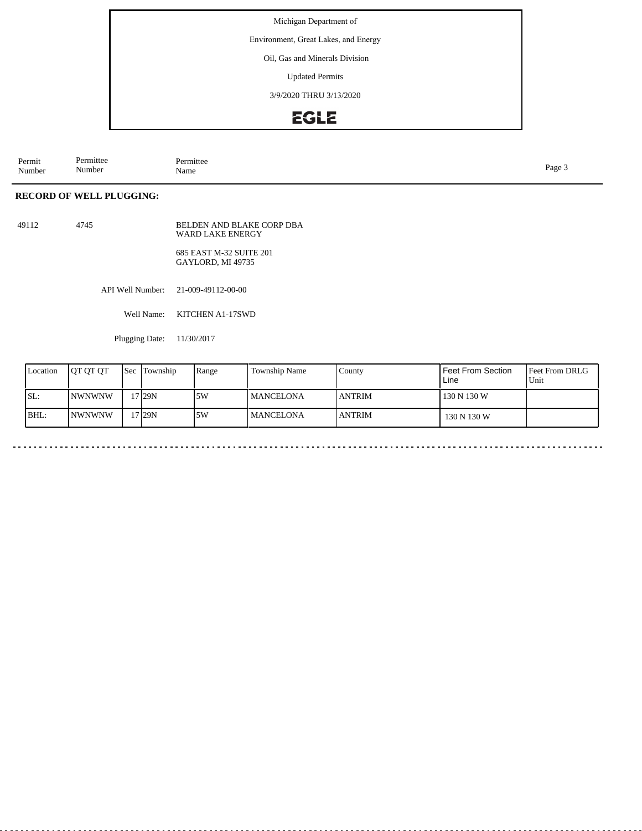Environment, Great Lakes, and Energy

Oil, Gas and Minerals Division

Updated Permits

3/9/2020 THRU 3/13/2020

## EGLE

| Permit<br>Number | $\sim$<br>ermittee<br>$\sim$ $\sim$<br>Number<br>-------- | " rmittee<br>Name | Page |
|------------------|-----------------------------------------------------------|-------------------|------|
|                  |                                                           |                   |      |

### **RECORD OF WELL PLUGGING:**

| 49112 | 4745 | BELDEN AND BLAKE CORP DBA<br>WARD LAKE ENERGY |
|-------|------|-----------------------------------------------|
|       |      | 685 EAST M-32 SUITE 201<br>GAYLORD, MI 49735  |

API Well Number: 21-009-49112-00-00

Well Name: KITCHEN A1-17SWD

Plugging Date: 11/30/2017

| Location | <b>IOT OT OT</b> | <b>Sec</b> | Township | Range | Township Name    | County        | <b>Feet From Section</b><br>Line | <b>Feet From DRLG</b><br>l Unit |
|----------|------------------|------------|----------|-------|------------------|---------------|----------------------------------|---------------------------------|
| SL:      | <b>NWNWNW</b>    |            | 17 I29N  | ا 5W  | <b>MANCELONA</b> | <b>ANTRIM</b> | 130 N 130 W                      |                                 |
| BHL:     | INWNWNW          |            | !7 29N   | 5W    | <b>MANCELONA</b> | <b>ANTRIM</b> | 130 N 130 W                      |                                 |

 $-$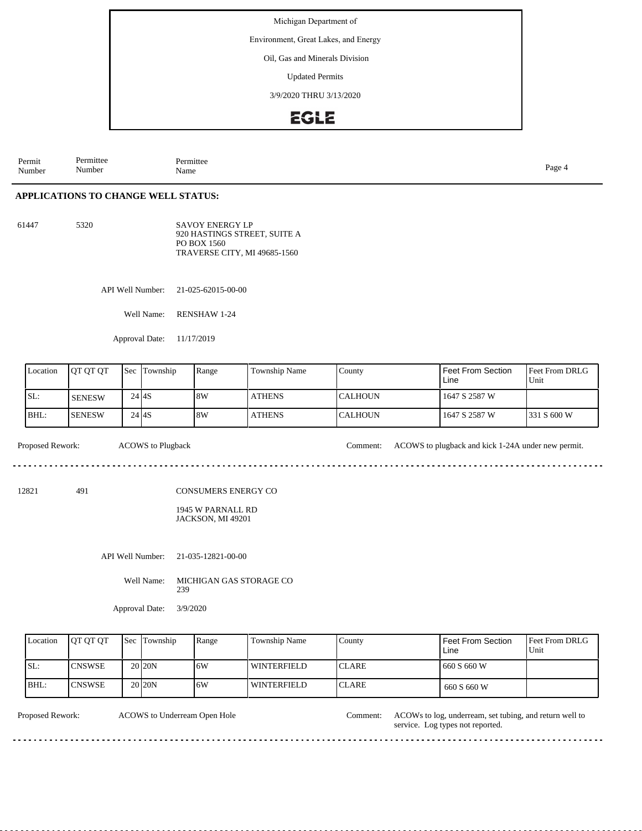Environment, Great Lakes, and Energy

Oil, Gas and Minerals Division

Updated Permits

3/9/2020 THRU 3/13/2020

## EGLE

Permit Number Permittee Number Permittee<br>Name Name Page 4

### **APPLICATIONS TO CHANGE WELL STATUS:**

61447 5320

SAVOY ENERGY LP 920 HASTINGS STREET, SUITE A PO BOX 1560 TRAVERSE CITY, MI 49685-1560

API Well Number: 21-025-62015-00-00

Well Name: RENSHAW 1-24

Approval Date: 11/17/2019

| Location | <b>IOT OT OT</b> | l Sec     | Township | Range | Township Name | County           | Feet From Section<br>Line | <b>Feet From DRLG</b><br>Unit |
|----------|------------------|-----------|----------|-------|---------------|------------------|---------------------------|-------------------------------|
| SL:      | <b>SENESW</b>    | 24 I 4 S  |          | 8W    | <b>ATHENS</b> | ICALHOUN         | 1647 S 2587 W             |                               |
| BHL:     | <b>ISENESW</b>   | $24$ $4S$ |          | 8W    | <b>ATHENS</b> | <b>I</b> CALHOUN | 1647 S 2587 W             | 1331 S 600 W                  |

Proposed Rework: ACOWS to Plugback Comment: ACOWS to plugback and kick 1-24A under new permit.

. . . . . . . . . . . . . .

 $1.1.1.1.1$ 

12821 491

CONSUMERS ENERGY CO

#### 1945 W PARNALL RD JACKSON, MI 49201

API Well Number: 21-035-12821-00-00

Well Name: MICHIGAN GAS STORAGE CO 239

Approval Date: 3/9/2020

| Location | <b>OT OT OT</b> | <b>Sec Township</b> | Range | Township Name | County        | Feet From Section<br>Line | Feet From DRLG<br>Unit |
|----------|-----------------|---------------------|-------|---------------|---------------|---------------------------|------------------------|
| ISL:     | <b>CNSWSE</b>   | 20 <sub>20</sub> N  | 16W   | l winterfield | ICLARE.       | 660 S 660 W               |                        |
| BHL:     | <b>CNSWSE</b>   | 20 <sub>20</sub> N  | 16W   | l winterfield | <b>ICLARE</b> | 660 S 660 W               |                        |

ACOWS to Underream Open Hole

Proposed Rework: ACOWs to log, underream, set tubing, and return well to service. Log types not reported.